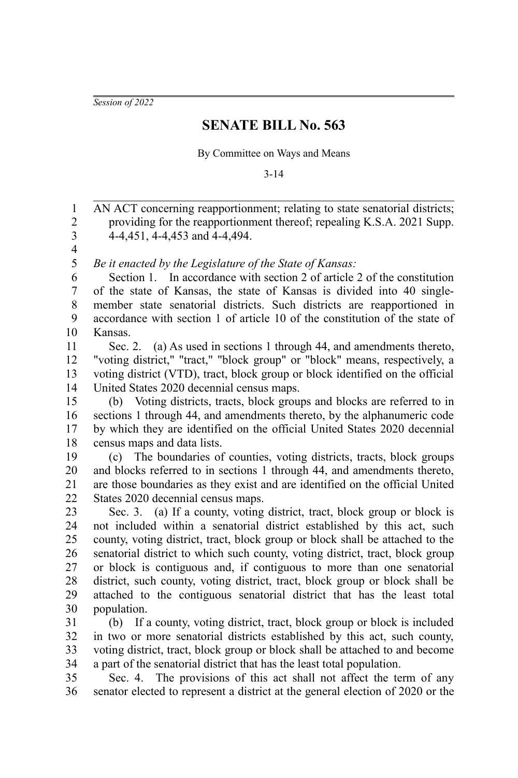*Session of 2022*

## **SENATE BILL No. 563**

By Committee on Ways and Means

3-14

AN ACT concerning reapportionment; relating to state senatorial districts; providing for the reapportionment thereof; repealing K.S.A. 2021 Supp. 4-4,451, 4-4,453 and 4-4,494. 1 2 3

4 5

*Be it enacted by the Legislature of the State of Kansas:*

Section 1. In accordance with section 2 of article 2 of the constitution of the state of Kansas, the state of Kansas is divided into 40 singlemember state senatorial districts. Such districts are reapportioned in accordance with section 1 of article 10 of the constitution of the state of Kansas. 6 7 8 9 10

Sec. 2. (a) As used in sections 1 through 44, and amendments thereto, "voting district," "tract," "block group" or "block" means, respectively, a voting district (VTD), tract, block group or block identified on the official United States 2020 decennial census maps. 11 12 13 14

(b) Voting districts, tracts, block groups and blocks are referred to in sections 1 through 44, and amendments thereto, by the alphanumeric code by which they are identified on the official United States 2020 decennial census maps and data lists. 15 16 17 18

(c) The boundaries of counties, voting districts, tracts, block groups and blocks referred to in sections 1 through 44, and amendments thereto, are those boundaries as they exist and are identified on the official United States 2020 decennial census maps. 19 20 21 22

Sec. 3. (a) If a county, voting district, tract, block group or block is not included within a senatorial district established by this act, such county, voting district, tract, block group or block shall be attached to the senatorial district to which such county, voting district, tract, block group or block is contiguous and, if contiguous to more than one senatorial district, such county, voting district, tract, block group or block shall be attached to the contiguous senatorial district that has the least total population. 23 24 25 26 27 28 29 30

(b) If a county, voting district, tract, block group or block is included in two or more senatorial districts established by this act, such county, voting district, tract, block group or block shall be attached to and become a part of the senatorial district that has the least total population. 31 32 33 34

Sec. 4. The provisions of this act shall not affect the term of any senator elected to represent a district at the general election of 2020 or the 35 36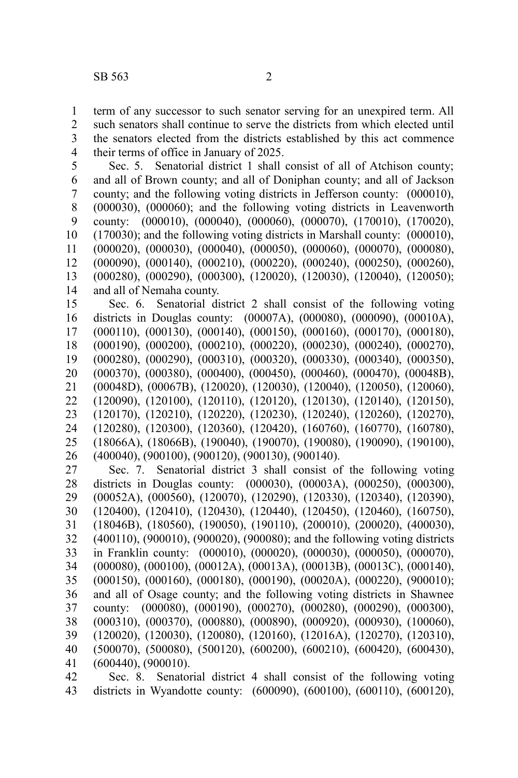term of any successor to such senator serving for an unexpired term. All such senators shall continue to serve the districts from which elected until the senators elected from the districts established by this act commence their terms of office in January of 2025. 1 2 3 4

Sec. 5. Senatorial district 1 shall consist of all of Atchison county; and all of Brown county; and all of Doniphan county; and all of Jackson county; and the following voting districts in Jefferson county: (000010), (000030), (000060); and the following voting districts in Leavenworth county: (000010), (000040), (000060), (000070), (170010), (170020), (170030); and the following voting districts in Marshall county: (000010), (000020), (000030), (000040), (000050), (000060), (000070), (000080), (000090), (000140), (000210), (000220), (000240), (000250), (000260), (000280), (000290), (000300), (120020), (120030), (120040), (120050); and all of Nemaha county. 5 6 7 8 9 10 11 12 13 14

Sec. 6. Senatorial district 2 shall consist of the following voting districts in Douglas county: (00007A), (000080), (000090), (00010A), (000110), (000130), (000140), (000150), (000160), (000170), (000180), (000190), (000200), (000210), (000220), (000230), (000240), (000270), (000280), (000290), (000310), (000320), (000330), (000340), (000350), (000370), (000380), (000400), (000450), (000460), (000470), (00048B), (00048D), (00067B), (120020), (120030), (120040), (120050), (120060), (120090), (120100), (120110), (120120), (120130), (120140), (120150), (120170), (120210), (120220), (120230), (120240), (120260), (120270), (120280), (120300), (120360), (120420), (160760), (160770), (160780), (18066A), (18066B), (190040), (190070), (190080), (190090), (190100), (400040), (900100), (900120), (900130), (900140). 15 16 17 18 19 20 21 22 23 24 25 26

Sec. 7. Senatorial district 3 shall consist of the following voting districts in Douglas county: (000030), (00003A), (000250), (000300), (00052A), (000560), (120070), (120290), (120330), (120340), (120390), (120400), (120410), (120430), (120440), (120450), (120460), (160750), (18046B), (180560), (190050), (190110), (200010), (200020), (400030), (400110), (900010), (900020), (900080); and the following voting districts in Franklin county: (000010), (000020), (000030), (000050), (000070), (000080), (000100), (00012A), (00013A), (00013B), (00013C), (000140), (000150), (000160), (000180), (000190), (00020A), (000220), (900010); and all of Osage county; and the following voting districts in Shawnee county: (000080), (000190), (000270), (000280), (000290), (000300), (000310), (000370), (000880), (000890), (000920), (000930), (100060), (120020), (120030), (120080), (120160), (12016A), (120270), (120310), (500070), (500080), (500120), (600200), (600210), (600420), (600430), (600440), (900010). 27 28 29 30 31 32 33 34 35 36 37 38 39 40 41

Sec. 8. Senatorial district 4 shall consist of the following voting districts in Wyandotte county: (600090), (600100), (600110), (600120), 42 43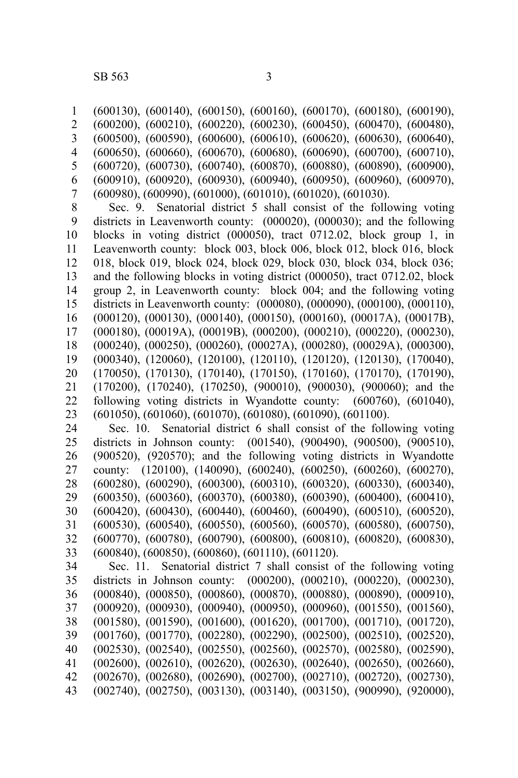(600130), (600140), (600150), (600160), (600170), (600180), (600190), (600200), (600210), (600220), (600230), (600450), (600470), (600480), (600500), (600590), (600600), (600610), (600620), (600630), (600640), (600650), (600660), (600670), (600680), (600690), (600700), (600710), (600720), (600730), (600740), (600870), (600880), (600890), (600900), (600910), (600920), (600930), (600940), (600950), (600960), (600970), (600980), (600990), (601000), (601010), (601020), (601030). 1 2 3 4 5 6 7

Sec. 9. Senatorial district 5 shall consist of the following voting districts in Leavenworth county: (000020), (000030); and the following blocks in voting district (000050), tract 0712.02, block group 1, in Leavenworth county: block 003, block 006, block 012, block 016, block 018, block 019, block 024, block 029, block 030, block 034, block 036; and the following blocks in voting district (000050), tract 0712.02, block group 2, in Leavenworth county: block 004; and the following voting districts in Leavenworth county: (000080), (000090), (000100), (000110), (000120), (000130), (000140), (000150), (000160), (00017A), (00017B), (000180), (00019A), (00019B), (000200), (000210), (000220), (000230), (000240), (000250), (000260), (00027A), (000280), (00029A), (000300), (000340), (120060), (120100), (120110), (120120), (120130), (170040), (170050), (170130), (170140), (170150), (170160), (170170), (170190), (170200), (170240), (170250), (900010), (900030), (900060); and the following voting districts in Wyandotte county: (600760), (601040), (601050), (601060), (601070), (601080), (601090), (601100). 8 9 10 11 12 13 14 15 16 17 18 19 20 21 22 23

Sec. 10. Senatorial district 6 shall consist of the following voting districts in Johnson county: (001540), (900490), (900500), (900510), (900520), (920570); and the following voting districts in Wyandotte county: (120100), (140090), (600240), (600250), (600260), (600270), (600280), (600290), (600300), (600310), (600320), (600330), (600340), (600350), (600360), (600370), (600380), (600390), (600400), (600410), (600420), (600430), (600440), (600460), (600490), (600510), (600520), (600530), (600540), (600550), (600560), (600570), (600580), (600750), (600770), (600780), (600790), (600800), (600810), (600820), (600830), (600840), (600850), (600860), (601110), (601120). 24 25 26 27 28 29 30 31 32 33

Sec. 11. Senatorial district 7 shall consist of the following voting districts in Johnson county: (000200), (000210), (000220), (000230), (000840), (000850), (000860), (000870), (000880), (000890), (000910), (000920), (000930), (000940), (000950), (000960), (001550), (001560), (001580), (001590), (001600), (001620), (001700), (001710), (001720), (001760), (001770), (002280), (002290), (002500), (002510), (002520), (002530), (002540), (002550), (002560), (002570), (002580), (002590), (002600), (002610), (002620), (002630), (002640), (002650), (002660), (002670), (002680), (002690), (002700), (002710), (002720), (002730), (002740), (002750), (003130), (003140), (003150), (900990), (920000), 34 35 36 37 38 39 40 41 42 43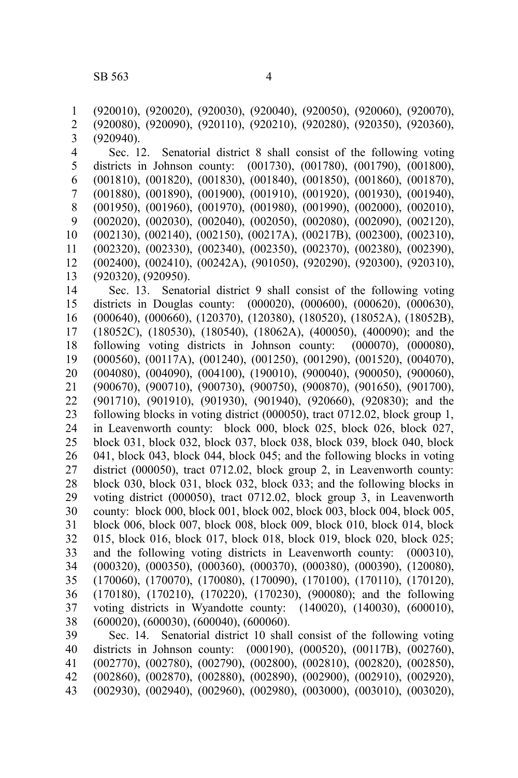(920010), (920020), (920030), (920040), (920050), (920060), (920070), (920080), (920090), (920110), (920210), (920280), (920350), (920360), (920940). Sec. 12. Senatorial district 8 shall consist of the following voting districts in Johnson county: (001730), (001780), (001790), (001800), (001810), (001820), (001830), (001840), (001850), (001860), (001870), (001880), (001890), (001900), (001910), (001920), (001930), (001940), (001950), (001960), (001970), (001980), (001990), (002000), (002010), (002020), (002030), (002040), (002050), (002080), (002090), (002120), (002130), (002140), (002150), (00217A), (00217B), (002300), (002310), (002320), (002330), (002340), (002350), (002370), (002380), (002390), (002400), (002410), (00242A), (901050), (920290), (920300), (920310), (920320), (920950). Sec. 13. Senatorial district 9 shall consist of the following voting districts in Douglas county: (000020), (000600), (000620), (000630), (000640), (000660), (120370), (120380), (180520), (18052A), (18052B), (18052C), (180530), (180540), (18062A), (400050), (400090); and the following voting districts in Johnson county: (000070), (000080), (000560), (00117A), (001240), (001250), (001290), (001520), (004070), (004080), (004090), (004100), (190010), (900040), (900050), (900060), (900670), (900710), (900730), (900750), (900870), (901650), (901700), (901710), (901910), (901930), (901940), (920660), (920830); and the following blocks in voting district (000050), tract 0712.02, block group 1, in Leavenworth county: block 000, block 025, block 026, block 027, block 031, block 032, block 037, block 038, block 039, block 040, block 041, block 043, block 044, block 045; and the following blocks in voting district (000050), tract 0712.02, block group 2, in Leavenworth county: block 030, block 031, block 032, block 033; and the following blocks in voting district (000050), tract 0712.02, block group 3, in Leavenworth county: block 000, block 001, block 002, block 003, block 004, block 005, block 006, block 007, block 008, block 009, block 010, block 014, block 015, block 016, block 017, block 018, block 019, block 020, block 025; and the following voting districts in Leavenworth county: (000310), (000320), (000350), (000360), (000370), (000380), (000390), (120080), (170060), (170070), (170080), (170090), (170100), (170110), (170120), (170180), (170210), (170220), (170230), (900080); and the following voting districts in Wyandotte county: (140020), (140030), (600010), (600020), (600030), (600040), (600060). Sec. 14. Senatorial district 10 shall consist of the following voting 1 2 3 4 5 6 7 8 9 10 11 12 13 14 15 16 17 18 19 20 21 22 23 24 25 26 27 28 29 30 31 32 33 34 35 36 37 38 39

districts in Johnson county: (000190), (000520), (00117B), (002760), (002770), (002780), (002790), (002800), (002810), (002820), (002850), (002860), (002870), (002880), (002890), (002900), (002910), (002920), (002930), (002940), (002960), (002980), (003000), (003010), (003020), 40 41 42 43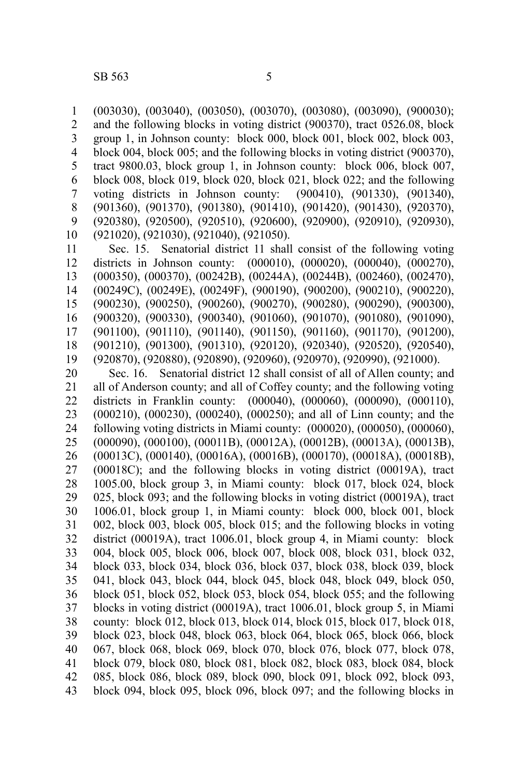1

(003030), (003040), (003050), (003070), (003080), (003090), (900030);

and the following blocks in voting district (900370), tract 0526.08, block group 1, in Johnson county: block 000, block 001, block 002, block 003, block 004, block 005; and the following blocks in voting district (900370), tract 9800.03, block group 1, in Johnson county: block 006, block 007, block 008, block 019, block 020, block 021, block 022; and the following voting districts in Johnson county: (900410), (901330), (901340), (901360), (901370), (901380), (901410), (901420), (901430), (920370), (920380), (920500), (920510), (920600), (920900), (920910), (920930), (921020), (921030), (921040), (921050). 2 3 4 5 6 7 8 9 10

Sec. 15. Senatorial district 11 shall consist of the following voting districts in Johnson county: (000010), (000020), (000040), (000270), (000350), (000370), (00242B), (00244A), (00244B), (002460), (002470), (00249C), (00249E), (00249F), (900190), (900200), (900210), (900220), (900230), (900250), (900260), (900270), (900280), (900290), (900300), (900320), (900330), (900340), (901060), (901070), (901080), (901090), (901100), (901110), (901140), (901150), (901160), (901170), (901200), (901210), (901300), (901310), (920120), (920340), (920520), (920540), (920870), (920880), (920890), (920960), (920970), (920990), (921000). 11 12 13 14 15 16 17 18 19

Sec. 16. Senatorial district 12 shall consist of all of Allen county; and all of Anderson county; and all of Coffey county; and the following voting districts in Franklin county: (000040), (000060), (000090), (000110), (000210), (000230), (000240), (000250); and all of Linn county; and the following voting districts in Miami county: (000020), (000050), (000060), (000090), (000100), (00011B), (00012A), (00012B), (00013A), (00013B), (00013C), (000140), (00016A), (00016B), (000170), (00018A), (00018B), (00018C); and the following blocks in voting district (00019A), tract 1005.00, block group 3, in Miami county: block 017, block 024, block 025, block 093; and the following blocks in voting district (00019A), tract 1006.01, block group 1, in Miami county: block 000, block 001, block 002, block 003, block 005, block 015; and the following blocks in voting district (00019A), tract 1006.01, block group 4, in Miami county: block 004, block 005, block 006, block 007, block 008, block 031, block 032, block 033, block 034, block 036, block 037, block 038, block 039, block 041, block 043, block 044, block 045, block 048, block 049, block 050, block 051, block 052, block 053, block 054, block 055; and the following blocks in voting district (00019A), tract 1006.01, block group 5, in Miami county: block 012, block 013, block 014, block 015, block 017, block 018, block 023, block 048, block 063, block 064, block 065, block 066, block 067, block 068, block 069, block 070, block 076, block 077, block 078, block 079, block 080, block 081, block 082, block 083, block 084, block 085, block 086, block 089, block 090, block 091, block 092, block 093, block 094, block 095, block 096, block 097; and the following blocks in 20 21 22 23 24 25 26 27 28 29 30 31 32 33 34 35 36 37 38 39 40 41 42 43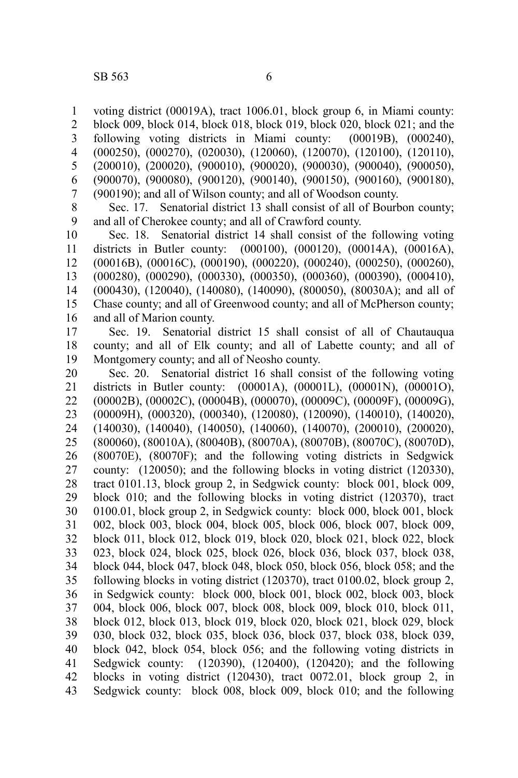voting district (00019A), tract 1006.01, block group 6, in Miami county: block 009, block 014, block 018, block 019, block 020, block 021; and the following voting districts in Miami county: (00019B), (000240), (000250), (000270), (020030), (120060), (120070), (120100), (120110), (200010), (200020), (900010), (900020), (900030), (900040), (900050),

(900070), (900080), (900120), (900140), (900150), (900160), (900180), (900190); and all of Wilson county; and all of Woodson county. 6 7

Sec. 17. Senatorial district 13 shall consist of all of Bourbon county; and all of Cherokee county; and all of Crawford county. 8 9

Sec. 18. Senatorial district 14 shall consist of the following voting districts in Butler county: (000100), (000120), (00014A), (00016A), (00016B), (00016C), (000190), (000220), (000240), (000250), (000260), (000280), (000290), (000330), (000350), (000360), (000390), (000410), (000430), (120040), (140080), (140090), (800050), (80030A); and all of Chase county; and all of Greenwood county; and all of McPherson county; and all of Marion county. 10 11 12 13 14 15 16

Sec. 19. Senatorial district 15 shall consist of all of Chautauqua county; and all of Elk county; and all of Labette county; and all of Montgomery county; and all of Neosho county. 17 18 19

Sec. 20. Senatorial district 16 shall consist of the following voting districts in Butler county: (00001A), (00001L), (00001N), (00001O), (00002B), (00002C), (00004B), (000070), (00009C), (00009F), (00009G), (00009H), (000320), (000340), (120080), (120090), (140010), (140020), (140030), (140040), (140050), (140060), (140070), (200010), (200020), (800060), (80010A), (80040B), (80070A), (80070B), (80070C), (80070D), (80070E), (80070F); and the following voting districts in Sedgwick county: (120050); and the following blocks in voting district (120330), tract 0101.13, block group 2, in Sedgwick county: block 001, block 009, block 010; and the following blocks in voting district (120370), tract 0100.01, block group 2, in Sedgwick county: block 000, block 001, block 002, block 003, block 004, block 005, block 006, block 007, block 009, block 011, block 012, block 019, block 020, block 021, block 022, block 023, block 024, block 025, block 026, block 036, block 037, block 038, block 044, block 047, block 048, block 050, block 056, block 058; and the following blocks in voting district (120370), tract 0100.02, block group 2, in Sedgwick county: block 000, block 001, block 002, block 003, block 004, block 006, block 007, block 008, block 009, block 010, block 011, block 012, block 013, block 019, block 020, block 021, block 029, block 030, block 032, block 035, block 036, block 037, block 038, block 039, block 042, block 054, block 056; and the following voting districts in Sedgwick county: (120390), (120400), (120420); and the following blocks in voting district (120430), tract 0072.01, block group 2, in Sedgwick county: block 008, block 009, block 010; and the following 20 21 22 23 24 25 26 27 28 29 30 31 32 33 34 35 36 37 38 39 40 41 42 43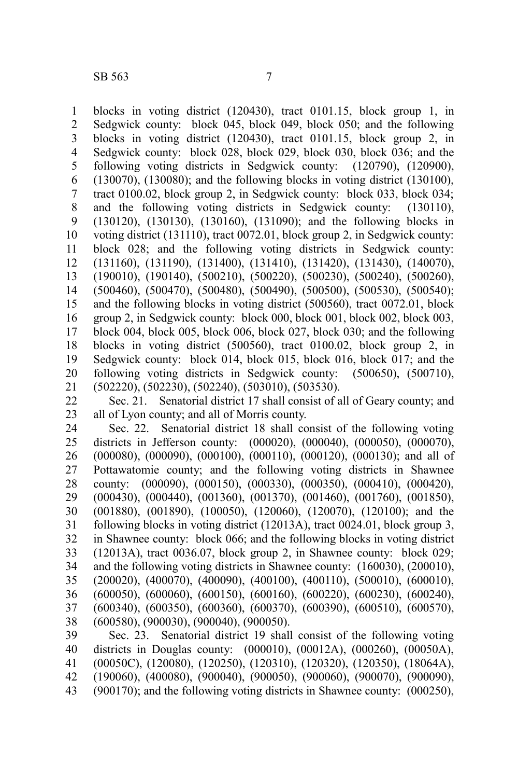blocks in voting district (120430), tract 0101.15, block group 1, in Sedgwick county: block 045, block 049, block 050; and the following blocks in voting district (120430), tract 0101.15, block group 2, in Sedgwick county: block 028, block 029, block 030, block 036; and the following voting districts in Sedgwick county: (120790), (120900), (130070), (130080); and the following blocks in voting district (130100), tract 0100.02, block group 2, in Sedgwick county: block 033, block 034; and the following voting districts in Sedgwick county: (130110), (130120), (130130), (130160), (131090); and the following blocks in voting district (131110), tract 0072.01, block group 2, in Sedgwick county: block 028; and the following voting districts in Sedgwick county: (131160), (131190), (131400), (131410), (131420), (131430), (140070), (190010), (190140), (500210), (500220), (500230), (500240), (500260), (500460), (500470), (500480), (500490), (500500), (500530), (500540); and the following blocks in voting district (500560), tract 0072.01, block group 2, in Sedgwick county: block 000, block 001, block 002, block 003, block 004, block 005, block 006, block 027, block 030; and the following blocks in voting district (500560), tract 0100.02, block group 2, in Sedgwick county: block 014, block 015, block 016, block 017; and the following voting districts in Sedgwick county: (500650), (500710), (502220), (502230), (502240), (503010), (503530). 1 2 3 4 5 6 7 8 9 10 11 12 13 14 15 16 17 18 19 20 21

Sec. 21. Senatorial district 17 shall consist of all of Geary county; and all of Lyon county; and all of Morris county. 22 23

Sec. 22. Senatorial district 18 shall consist of the following voting districts in Jefferson county: (000020), (000040), (000050), (000070), (000080), (000090), (000100), (000110), (000120), (000130); and all of Pottawatomie county; and the following voting districts in Shawnee county: (000090), (000150), (000330), (000350), (000410), (000420), (000430), (000440), (001360), (001370), (001460), (001760), (001850), (001880), (001890), (100050), (120060), (120070), (120100); and the following blocks in voting district (12013A), tract 0024.01, block group 3, in Shawnee county: block 066; and the following blocks in voting district (12013A), tract 0036.07, block group 2, in Shawnee county: block 029; and the following voting districts in Shawnee county: (160030), (200010), (200020), (400070), (400090), (400100), (400110), (500010), (600010), (600050), (600060), (600150), (600160), (600220), (600230), (600240), (600340), (600350), (600360), (600370), (600390), (600510), (600570), (600580), (900030), (900040), (900050). 24 25 26 27 28 29 30 31 32 33 34 35 36 37 38

Sec. 23. Senatorial district 19 shall consist of the following voting districts in Douglas county: (000010), (00012A), (000260), (00050A), (00050C), (120080), (120250), (120310), (120320), (120350), (18064A), (190060), (400080), (900040), (900050), (900060), (900070), (900090), (900170); and the following voting districts in Shawnee county: (000250), 39 40 41 42 43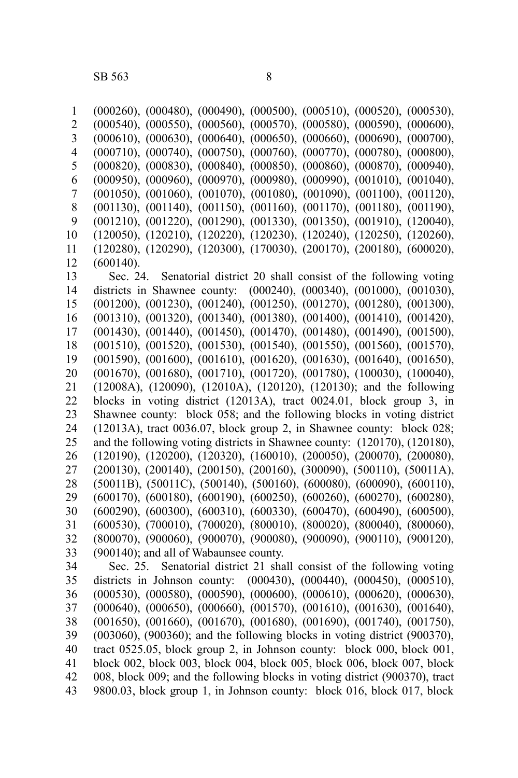(000260), (000480), (000490), (000500), (000510), (000520), (000530), (000540), (000550), (000560), (000570), (000580), (000590), (000600), (000610), (000630), (000640), (000650), (000660), (000690), (000700), (000710), (000740), (000750), (000760), (000770), (000780), (000800), (000820), (000830), (000840), (000850), (000860), (000870), (000940), (000950), (000960), (000970), (000980), (000990), (001010), (001040), (001050), (001060), (001070), (001080), (001090), (001100), (001120), (001130), (001140), (001150), (001160), (001170), (001180), (001190), (001210), (001220), (001290), (001330), (001350), (001910), (120040), (120050), (120210), (120220), (120230), (120240), (120250), (120260), (120280), (120290), (120300), (170030), (200170), (200180), (600020), (600140). Sec. 24. Senatorial district 20 shall consist of the following voting districts in Shawnee county: (000240), (000340), (001000), (001030), (001200), (001230), (001240), (001250), (001270), (001280), (001300), (001310), (001320), (001340), (001380), (001400), (001410), (001420), (001430), (001440), (001450), (001470), (001480), (001490), (001500), (001510), (001520), (001530), (001540), (001550), (001560), (001570), (001590), (001600), (001610), (001620), (001630), (001640), (001650), (001670), (001680), (001710), (001720), (001780), (100030), (100040), (12008A), (120090), (12010A), (120120), (120130); and the following blocks in voting district (12013A), tract 0024.01, block group 3, in Shawnee county: block 058; and the following blocks in voting district (12013A), tract 0036.07, block group 2, in Shawnee county: block 028; and the following voting districts in Shawnee county: (120170), (120180), (120190), (120200), (120320), (160010), (200050), (200070), (200080), (200130), (200140), (200150), (200160), (300090), (500110), (50011A), (50011B), (50011C), (500140), (500160), (600080), (600090), (600110), (600170), (600180), (600190), (600250), (600260), (600270), (600280), (600290), (600300), (600310), (600330), (600470), (600490), (600500), (600530), (700010), (700020), (800010), (800020), (800040), (800060), (800070), (900060), (900070), (900080), (900090), (900110), (900120), (900140); and all of Wabaunsee county. Sec. 25. Senatorial district 21 shall consist of the following voting districts in Johnson county: (000430), (000440), (000450), (000510), (000530), (000580), (000590), (000600), (000610), (000620), (000630), (000640), (000650), (000660), (001570), (001610), (001630), (001640), (001650), (001660), (001670), (001680), (001690), (001740), (001750), (003060), (900360); and the following blocks in voting district (900370), tract 0525.05, block group 2, in Johnson county: block 000, block 001, block 002, block 003, block 004, block 005, block 006, block 007, block 008, block 009; and the following blocks in voting district (900370), tract 9800.03, block group 1, in Johnson county: block 016, block 017, block 1 2 3 4 5 6 7 8 9 10 11 12 13 14 15 16 17 18 19 20 21 22 23 24 25 26 27 28 29 30 31 32 33 34 35 36 37 38 39 40 41 42 43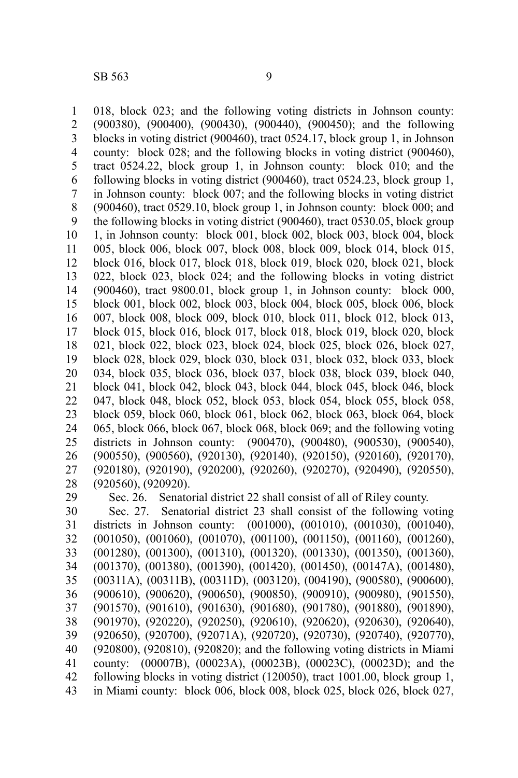018, block 023; and the following voting districts in Johnson county: (900380), (900400), (900430), (900440), (900450); and the following blocks in voting district (900460), tract 0524.17, block group 1, in Johnson county: block 028; and the following blocks in voting district (900460), tract 0524.22, block group 1, in Johnson county: block 010; and the following blocks in voting district (900460), tract 0524.23, block group 1, in Johnson county: block 007; and the following blocks in voting district (900460), tract 0529.10, block group 1, in Johnson county: block 000; and the following blocks in voting district (900460), tract 0530.05, block group 1, in Johnson county: block 001, block 002, block 003, block 004, block 005, block 006, block 007, block 008, block 009, block 014, block 015, block 016, block 017, block 018, block 019, block 020, block 021, block 022, block 023, block 024; and the following blocks in voting district (900460), tract 9800.01, block group 1, in Johnson county: block 000, block 001, block 002, block 003, block 004, block 005, block 006, block 007, block 008, block 009, block 010, block 011, block 012, block 013, block 015, block 016, block 017, block 018, block 019, block 020, block 021, block 022, block 023, block 024, block 025, block 026, block 027, block 028, block 029, block 030, block 031, block 032, block 033, block 034, block 035, block 036, block 037, block 038, block 039, block 040, block 041, block 042, block 043, block 044, block 045, block 046, block 047, block 048, block 052, block 053, block 054, block 055, block 058, block 059, block 060, block 061, block 062, block 063, block 064, block 065, block 066, block 067, block 068, block 069; and the following voting districts in Johnson county: (900470), (900480), (900530), (900540), (900550), (900560), (920130), (920140), (920150), (920160), (920170), (920180), (920190), (920200), (920260), (920270), (920490), (920550), (920560), (920920). 1 2 3 4 5 6 7 8 9 10 11 12 13 14 15 16 17 18 19 20 21 22 23 24 25 26 27 28 29

Sec. 26. Senatorial district 22 shall consist of all of Riley county.

Sec. 27. Senatorial district 23 shall consist of the following voting districts in Johnson county: (001000), (001010), (001030), (001040), (001050), (001060), (001070), (001100), (001150), (001160), (001260), (001280), (001300), (001310), (001320), (001330), (001350), (001360), (001370), (001380), (001390), (001420), (001450), (00147A), (001480), (00311A), (00311B), (00311D), (003120), (004190), (900580), (900600), (900610), (900620), (900650), (900850), (900910), (900980), (901550), (901570), (901610), (901630), (901680), (901780), (901880), (901890), (901970), (920220), (920250), (920610), (920620), (920630), (920640), (920650), (920700), (92071A), (920720), (920730), (920740), (920770), (920800), (920810), (920820); and the following voting districts in Miami county: (00007B), (00023A), (00023B), (00023C), (00023D); and the following blocks in voting district (120050), tract 1001.00, block group 1, in Miami county: block 006, block 008, block 025, block 026, block 027, 30 31 32 33 34 35 36 37 38 39 40 41 42 43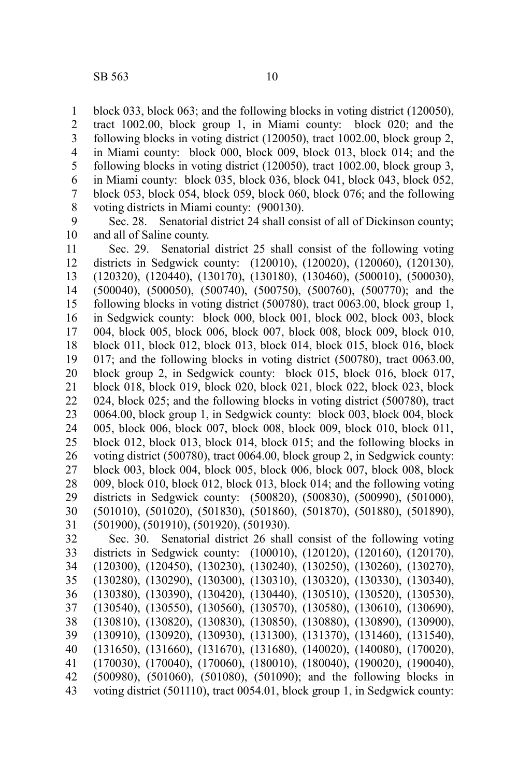block 033, block 063; and the following blocks in voting district (120050), tract 1002.00, block group 1, in Miami county: block 020; and the following blocks in voting district (120050), tract 1002.00, block group 2, in Miami county: block 000, block 009, block 013, block 014; and the following blocks in voting district (120050), tract 1002.00, block group 3, in Miami county: block 035, block 036, block 041, block 043, block 052, block 053, block 054, block 059, block 060, block 076; and the following voting districts in Miami county: (900130). 1 2 3 4 5 6 7 8

Sec. 28. Senatorial district 24 shall consist of all of Dickinson county; and all of Saline county. 9 10

Sec. 29. Senatorial district 25 shall consist of the following voting districts in Sedgwick county: (120010), (120020), (120060), (120130), (120320), (120440), (130170), (130180), (130460), (500010), (500030), (500040), (500050), (500740), (500750), (500760), (500770); and the following blocks in voting district (500780), tract 0063.00, block group 1, in Sedgwick county: block 000, block 001, block 002, block 003, block 004, block 005, block 006, block 007, block 008, block 009, block 010, block 011, block 012, block 013, block 014, block 015, block 016, block 017; and the following blocks in voting district (500780), tract 0063.00, block group 2, in Sedgwick county: block 015, block 016, block 017, block 018, block 019, block 020, block 021, block 022, block 023, block 024, block 025; and the following blocks in voting district (500780), tract 0064.00, block group 1, in Sedgwick county: block 003, block 004, block 005, block 006, block 007, block 008, block 009, block 010, block 011, block 012, block 013, block 014, block 015; and the following blocks in voting district (500780), tract 0064.00, block group 2, in Sedgwick county: block 003, block 004, block 005, block 006, block 007, block 008, block 009, block 010, block 012, block 013, block 014; and the following voting districts in Sedgwick county: (500820), (500830), (500990), (501000), (501010), (501020), (501830), (501860), (501870), (501880), (501890), (501900), (501910), (501920), (501930). 11 12 13 14 15 16 17 18 19 20 21 22 23 24 25 26 27 28 29 30 31

Sec. 30. Senatorial district 26 shall consist of the following voting districts in Sedgwick county: (100010), (120120), (120160), (120170), (120300), (120450), (130230), (130240), (130250), (130260), (130270), (130280), (130290), (130300), (130310), (130320), (130330), (130340), (130380), (130390), (130420), (130440), (130510), (130520), (130530), (130540), (130550), (130560), (130570), (130580), (130610), (130690), (130810), (130820), (130830), (130850), (130880), (130890), (130900), (130910), (130920), (130930), (131300), (131370), (131460), (131540), (131650), (131660), (131670), (131680), (140020), (140080), (170020), (170030), (170040), (170060), (180010), (180040), (190020), (190040), (500980), (501060), (501080), (501090); and the following blocks in voting district (501110), tract 0054.01, block group 1, in Sedgwick county: 32 33 34 35 36 37 38 39 40 41 42 43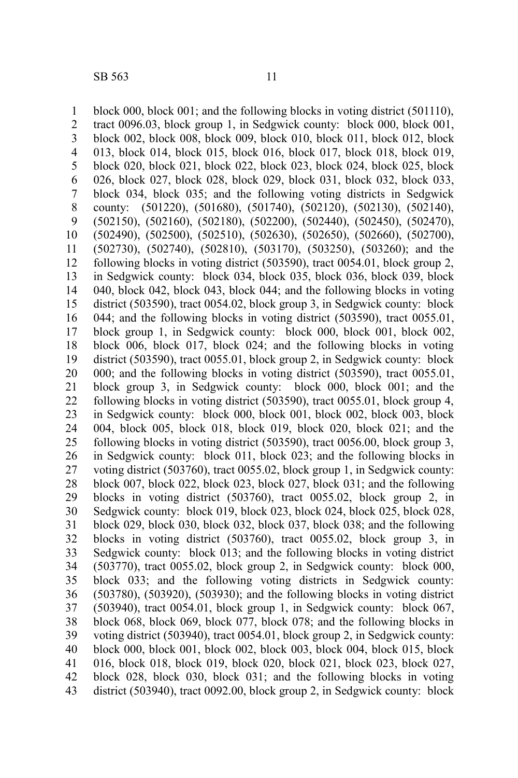block 000, block 001; and the following blocks in voting district (501110), tract 0096.03, block group 1, in Sedgwick county: block 000, block 001, block 002, block 008, block 009, block 010, block 011, block 012, block 013, block 014, block 015, block 016, block 017, block 018, block 019, block 020, block 021, block 022, block 023, block 024, block 025, block 026, block 027, block 028, block 029, block 031, block 032, block 033, block 034, block 035; and the following voting districts in Sedgwick county: (501220), (501680), (501740), (502120), (502130), (502140), (502150), (502160), (502180), (502200), (502440), (502450), (502470), (502490), (502500), (502510), (502630), (502650), (502660), (502700), (502730), (502740), (502810), (503170), (503250), (503260); and the following blocks in voting district (503590), tract 0054.01, block group 2, in Sedgwick county: block 034, block 035, block 036, block 039, block 040, block 042, block 043, block 044; and the following blocks in voting district (503590), tract 0054.02, block group 3, in Sedgwick county: block 044; and the following blocks in voting district (503590), tract 0055.01, block group 1, in Sedgwick county: block 000, block 001, block 002, block 006, block 017, block 024; and the following blocks in voting district (503590), tract 0055.01, block group 2, in Sedgwick county: block 000; and the following blocks in voting district (503590), tract 0055.01, block group 3, in Sedgwick county: block 000, block 001; and the following blocks in voting district (503590), tract 0055.01, block group 4, in Sedgwick county: block 000, block 001, block 002, block 003, block 004, block 005, block 018, block 019, block 020, block 021; and the following blocks in voting district (503590), tract 0056.00, block group 3, in Sedgwick county: block 011, block 023; and the following blocks in voting district (503760), tract 0055.02, block group 1, in Sedgwick county: block 007, block 022, block 023, block 027, block 031; and the following blocks in voting district (503760), tract 0055.02, block group 2, in Sedgwick county: block 019, block 023, block 024, block 025, block 028, block 029, block 030, block 032, block 037, block 038; and the following blocks in voting district (503760), tract 0055.02, block group 3, in Sedgwick county: block 013; and the following blocks in voting district (503770), tract 0055.02, block group 2, in Sedgwick county: block 000, block 033; and the following voting districts in Sedgwick county: (503780), (503920), (503930); and the following blocks in voting district (503940), tract 0054.01, block group 1, in Sedgwick county: block 067, block 068, block 069, block 077, block 078; and the following blocks in voting district (503940), tract 0054.01, block group 2, in Sedgwick county: block 000, block 001, block 002, block 003, block 004, block 015, block 016, block 018, block 019, block 020, block 021, block 023, block 027, block 028, block 030, block 031; and the following blocks in voting district (503940), tract 0092.00, block group 2, in Sedgwick county: block 1 2 3 4 5 6 7 8 9 10 11 12 13 14 15 16 17 18 19 20 21 22 23 24 25 26 27 28 29 30 31 32 33 34 35 36 37 38 39 40 41 42 43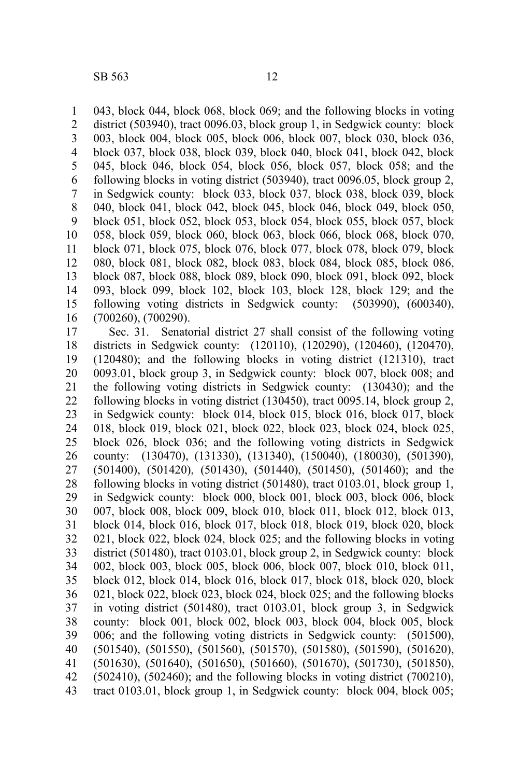043, block 044, block 068, block 069; and the following blocks in voting district (503940), tract 0096.03, block group 1, in Sedgwick county: block 003, block 004, block 005, block 006, block 007, block 030, block 036, block 037, block 038, block 039, block 040, block 041, block 042, block 045, block 046, block 054, block 056, block 057, block 058; and the following blocks in voting district (503940), tract 0096.05, block group 2, in Sedgwick county: block 033, block 037, block 038, block 039, block 040, block 041, block 042, block 045, block 046, block 049, block 050, block 051, block 052, block 053, block 054, block 055, block 057, block 058, block 059, block 060, block 063, block 066, block 068, block 070, block 071, block 075, block 076, block 077, block 078, block 079, block 080, block 081, block 082, block 083, block 084, block 085, block 086, block 087, block 088, block 089, block 090, block 091, block 092, block 093, block 099, block 102, block 103, block 128, block 129; and the following voting districts in Sedgwick county: (503990), (600340), (700260), (700290). 1 2 3 4 5 6 7 8 9 10 11 12 13 14 15 16

Sec. 31. Senatorial district 27 shall consist of the following voting districts in Sedgwick county: (120110), (120290), (120460), (120470), (120480); and the following blocks in voting district (121310), tract 0093.01, block group 3, in Sedgwick county: block 007, block 008; and the following voting districts in Sedgwick county: (130430); and the following blocks in voting district (130450), tract 0095.14, block group 2, in Sedgwick county: block 014, block 015, block 016, block 017, block 018, block 019, block 021, block 022, block 023, block 024, block 025, block 026, block 036; and the following voting districts in Sedgwick county: (130470), (131330), (131340), (150040), (180030), (501390), (501400), (501420), (501430), (501440), (501450), (501460); and the following blocks in voting district (501480), tract 0103.01, block group 1, in Sedgwick county: block 000, block 001, block 003, block 006, block 007, block 008, block 009, block 010, block 011, block 012, block 013, block 014, block 016, block 017, block 018, block 019, block 020, block 021, block 022, block 024, block 025; and the following blocks in voting district (501480), tract 0103.01, block group 2, in Sedgwick county: block 002, block 003, block 005, block 006, block 007, block 010, block 011, block 012, block 014, block 016, block 017, block 018, block 020, block 021, block 022, block 023, block 024, block 025; and the following blocks in voting district (501480), tract 0103.01, block group 3, in Sedgwick county: block 001, block 002, block 003, block 004, block 005, block 006; and the following voting districts in Sedgwick county: (501500), (501540), (501550), (501560), (501570), (501580), (501590), (501620), (501630), (501640), (501650), (501660), (501670), (501730), (501850),  $(502410)$ ,  $(502460)$ ; and the following blocks in voting district  $(700210)$ , tract 0103.01, block group 1, in Sedgwick county: block 004, block 005; 17 18 19 20 21 22 23 24 25 26 27 28 29 30 31 32 33 34 35 36 37 38 39 40 41 42 43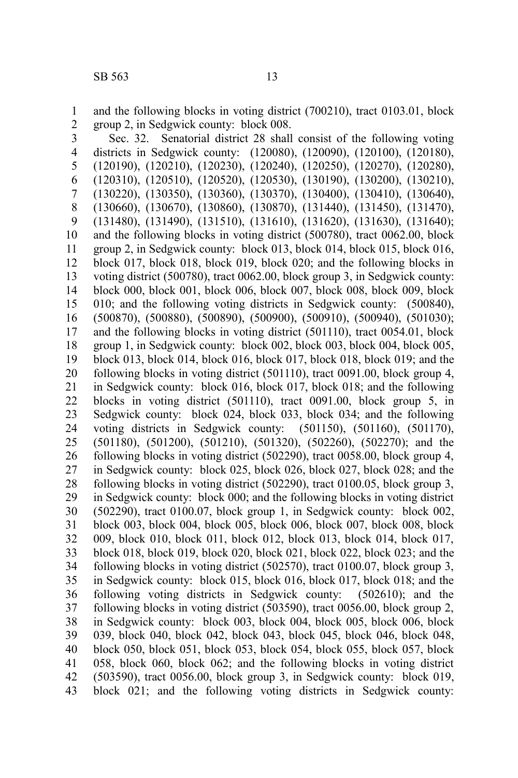and the following blocks in voting district (700210), tract 0103.01, block group 2, in Sedgwick county: block 008. 1 2

Sec. 32. Senatorial district 28 shall consist of the following voting districts in Sedgwick county: (120080), (120090), (120100), (120180), (120190), (120210), (120230), (120240), (120250), (120270), (120280), (120310), (120510), (120520), (120530), (130190), (130200), (130210), (130220), (130350), (130360), (130370), (130400), (130410), (130640), (130660), (130670), (130860), (130870), (131440), (131450), (131470), (131480), (131490), (131510), (131610), (131620), (131630), (131640); and the following blocks in voting district (500780), tract 0062.00, block group 2, in Sedgwick county: block 013, block 014, block 015, block 016, block 017, block 018, block 019, block 020; and the following blocks in voting district (500780), tract 0062.00, block group 3, in Sedgwick county: block 000, block 001, block 006, block 007, block 008, block 009, block 010; and the following voting districts in Sedgwick county: (500840), (500870), (500880), (500890), (500900), (500910), (500940), (501030); and the following blocks in voting district (501110), tract 0054.01, block group 1, in Sedgwick county: block 002, block 003, block 004, block 005, block 013, block 014, block 016, block 017, block 018, block 019; and the following blocks in voting district (501110), tract 0091.00, block group 4, in Sedgwick county: block 016, block 017, block 018; and the following blocks in voting district (501110), tract 0091.00, block group 5, in Sedgwick county: block 024, block 033, block 034; and the following voting districts in Sedgwick county: (501150), (501160), (501170), (501180), (501200), (501210), (501320), (502260), (502270); and the following blocks in voting district (502290), tract 0058.00, block group 4, in Sedgwick county: block 025, block 026, block 027, block 028; and the following blocks in voting district (502290), tract 0100.05, block group 3, in Sedgwick county: block 000; and the following blocks in voting district (502290), tract 0100.07, block group 1, in Sedgwick county: block 002, block 003, block 004, block 005, block 006, block 007, block 008, block 009, block 010, block 011, block 012, block 013, block 014, block 017, block 018, block 019, block 020, block 021, block 022, block 023; and the following blocks in voting district (502570), tract 0100.07, block group 3, in Sedgwick county: block 015, block 016, block 017, block 018; and the following voting districts in Sedgwick county: (502610); and the following blocks in voting district (503590), tract 0056.00, block group 2, in Sedgwick county: block 003, block 004, block 005, block 006, block 039, block 040, block 042, block 043, block 045, block 046, block 048, block 050, block 051, block 053, block 054, block 055, block 057, block 058, block 060, block 062; and the following blocks in voting district (503590), tract 0056.00, block group 3, in Sedgwick county: block 019, block 021; and the following voting districts in Sedgwick county: 3 4 5 6 7 8 9 10 11 12 13 14 15 16 17 18 19 20 21 22 23 24 25 26 27 28 29 30 31 32 33 34 35 36 37 38 39 40 41 42 43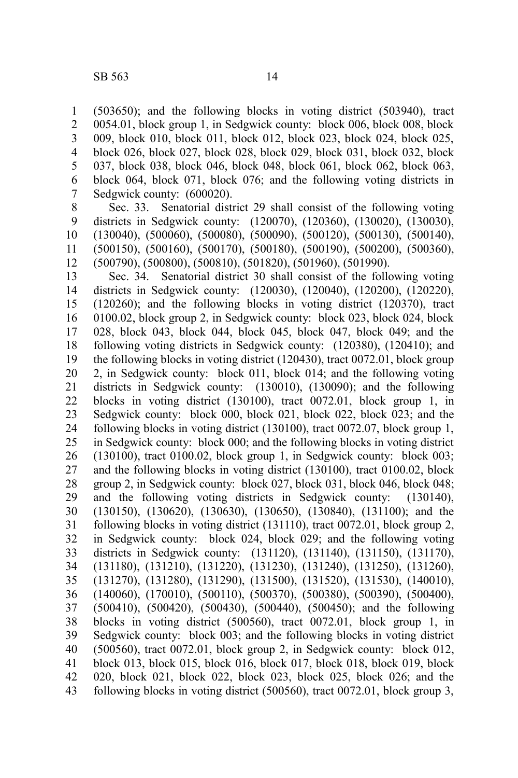1 2 (503650); and the following blocks in voting district (503940), tract 0054.01, block group 1, in Sedgwick county: block 006, block 008, block

009, block 010, block 011, block 012, block 023, block 024, block 025, block 026, block 027, block 028, block 029, block 031, block 032, block 037, block 038, block 046, block 048, block 061, block 062, block 063, block 064, block 071, block 076; and the following voting districts in Sedgwick county: (600020). 3 4 5 6 7

Sec. 33. Senatorial district 29 shall consist of the following voting districts in Sedgwick county: (120070), (120360), (130020), (130030), (130040), (500060), (500080), (500090), (500120), (500130), (500140), (500150), (500160), (500170), (500180), (500190), (500200), (500360), (500790), (500800), (500810), (501820), (501960), (501990). 8 9 10 11 12

Sec. 34. Senatorial district 30 shall consist of the following voting districts in Sedgwick county: (120030), (120040), (120200), (120220), (120260); and the following blocks in voting district (120370), tract 0100.02, block group 2, in Sedgwick county: block 023, block 024, block 028, block 043, block 044, block 045, block 047, block 049; and the following voting districts in Sedgwick county: (120380), (120410); and the following blocks in voting district (120430), tract 0072.01, block group 2, in Sedgwick county: block 011, block 014; and the following voting districts in Sedgwick county: (130010), (130090); and the following blocks in voting district (130100), tract 0072.01, block group 1, in Sedgwick county: block 000, block 021, block 022, block 023; and the following blocks in voting district (130100), tract 0072.07, block group 1, in Sedgwick county: block 000; and the following blocks in voting district  $(130100)$ , tract 0100.02, block group 1, in Sedgwick county: block 003; and the following blocks in voting district (130100), tract 0100.02, block group 2, in Sedgwick county: block 027, block 031, block 046, block 048; and the following voting districts in Sedgwick county: (130140), (130150), (130620), (130630), (130650), (130840), (131100); and the following blocks in voting district (131110), tract 0072.01, block group 2, in Sedgwick county: block 024, block 029; and the following voting districts in Sedgwick county: (131120), (131140), (131150), (131170), (131180), (131210), (131220), (131230), (131240), (131250), (131260), (131270), (131280), (131290), (131500), (131520), (131530), (140010), (140060), (170010), (500110), (500370), (500380), (500390), (500400), (500410), (500420), (500430), (500440), (500450); and the following blocks in voting district (500560), tract 0072.01, block group 1, in Sedgwick county: block 003; and the following blocks in voting district (500560), tract 0072.01, block group 2, in Sedgwick county: block 012, block 013, block 015, block 016, block 017, block 018, block 019, block 020, block 021, block 022, block 023, block 025, block 026; and the following blocks in voting district (500560), tract 0072.01, block group 3, 13 14 15 16 17 18 19 20 21 22 23 24 25 26 27 28 29 30 31 32 33 34 35 36 37 38 39 40 41 42 43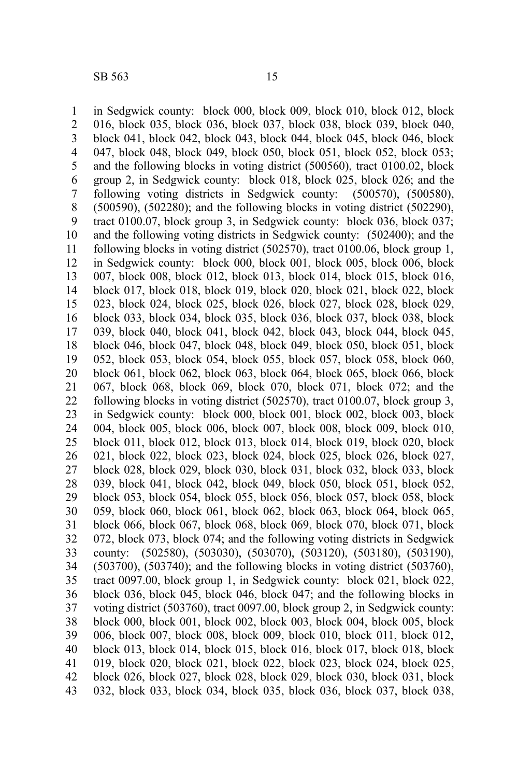in Sedgwick county: block 000, block 009, block 010, block 012, block 016, block 035, block 036, block 037, block 038, block 039, block 040, block 041, block 042, block 043, block 044, block 045, block 046, block 047, block 048, block 049, block 050, block 051, block 052, block 053; and the following blocks in voting district (500560), tract 0100.02, block group 2, in Sedgwick county: block 018, block 025, block 026; and the following voting districts in Sedgwick county: (500570), (500580), (500590), (502280); and the following blocks in voting district (502290), tract 0100.07, block group 3, in Sedgwick county: block 036, block 037; and the following voting districts in Sedgwick county: (502400); and the following blocks in voting district (502570), tract 0100.06, block group 1, in Sedgwick county: block 000, block 001, block 005, block 006, block 007, block 008, block 012, block 013, block 014, block 015, block 016, block 017, block 018, block 019, block 020, block 021, block 022, block 023, block 024, block 025, block 026, block 027, block 028, block 029, block 033, block 034, block 035, block 036, block 037, block 038, block 039, block 040, block 041, block 042, block 043, block 044, block 045, block 046, block 047, block 048, block 049, block 050, block 051, block 052, block 053, block 054, block 055, block 057, block 058, block 060, block 061, block 062, block 063, block 064, block 065, block 066, block 067, block 068, block 069, block 070, block 071, block 072; and the following blocks in voting district (502570), tract 0100.07, block group 3, in Sedgwick county: block 000, block 001, block 002, block 003, block 004, block 005, block 006, block 007, block 008, block 009, block 010, block 011, block 012, block 013, block 014, block 019, block 020, block 021, block 022, block 023, block 024, block 025, block 026, block 027, block 028, block 029, block 030, block 031, block 032, block 033, block 039, block 041, block 042, block 049, block 050, block 051, block 052, block 053, block 054, block 055, block 056, block 057, block 058, block 059, block 060, block 061, block 062, block 063, block 064, block 065, block 066, block 067, block 068, block 069, block 070, block 071, block 072, block 073, block 074; and the following voting districts in Sedgwick county: (502580), (503030), (503070), (503120), (503180), (503190), (503700), (503740); and the following blocks in voting district (503760), tract 0097.00, block group 1, in Sedgwick county: block 021, block 022, block 036, block 045, block 046, block 047; and the following blocks in voting district (503760), tract 0097.00, block group 2, in Sedgwick county: block 000, block 001, block 002, block 003, block 004, block 005, block 006, block 007, block 008, block 009, block 010, block 011, block 012, block 013, block 014, block 015, block 016, block 017, block 018, block 019, block 020, block 021, block 022, block 023, block 024, block 025, block 026, block 027, block 028, block 029, block 030, block 031, block 032, block 033, block 034, block 035, block 036, block 037, block 038, 1 2 3 4 5 6 7 8 9 10 11 12 13 14 15 16 17 18 19 20 21 22 23 24 25 26 27 28 29 30 31 32 33 34 35 36 37 38 39 40 41 42 43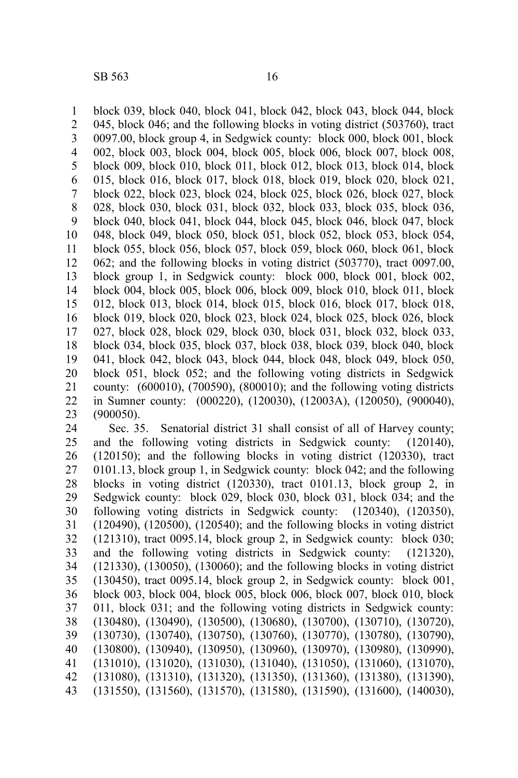block 039, block 040, block 041, block 042, block 043, block 044, block 045, block 046; and the following blocks in voting district (503760), tract 0097.00, block group 4, in Sedgwick county: block 000, block 001, block 002, block 003, block 004, block 005, block 006, block 007, block 008, block 009, block 010, block 011, block 012, block 013, block 014, block 015, block 016, block 017, block 018, block 019, block 020, block 021, block 022, block 023, block 024, block 025, block 026, block 027, block 028, block 030, block 031, block 032, block 033, block 035, block 036, block 040, block 041, block 044, block 045, block 046, block 047, block 048, block 049, block 050, block 051, block 052, block 053, block 054, block 055, block 056, block 057, block 059, block 060, block 061, block 062; and the following blocks in voting district (503770), tract 0097.00, block group 1, in Sedgwick county: block 000, block 001, block 002, block 004, block 005, block 006, block 009, block 010, block 011, block 012, block 013, block 014, block 015, block 016, block 017, block 018, block 019, block 020, block 023, block 024, block 025, block 026, block 027, block 028, block 029, block 030, block 031, block 032, block 033, block 034, block 035, block 037, block 038, block 039, block 040, block 041, block 042, block 043, block 044, block 048, block 049, block 050, block 051, block 052; and the following voting districts in Sedgwick county: (600010), (700590), (800010); and the following voting districts in Sumner county: (000220), (120030), (12003A), (120050), (900040), (900050). 1 2 3 4 5 6 7 8 9 10 11 12 13 14 15 16 17 18 19 20 21 22 23

Sec. 35. Senatorial district 31 shall consist of all of Harvey county; and the following voting districts in Sedgwick county: (120140), (120150); and the following blocks in voting district (120330), tract 0101.13, block group 1, in Sedgwick county: block 042; and the following blocks in voting district (120330), tract 0101.13, block group 2, in Sedgwick county: block 029, block 030, block 031, block 034; and the following voting districts in Sedgwick county: (120340), (120350), (120490), (120500), (120540); and the following blocks in voting district (121310), tract 0095.14, block group 2, in Sedgwick county: block 030; and the following voting districts in Sedgwick county: (121320), (121330), (130050), (130060); and the following blocks in voting district (130450), tract 0095.14, block group 2, in Sedgwick county: block 001, block 003, block 004, block 005, block 006, block 007, block 010, block 011, block 031; and the following voting districts in Sedgwick county: (130480), (130490), (130500), (130680), (130700), (130710), (130720), (130730), (130740), (130750), (130760), (130770), (130780), (130790), (130800), (130940), (130950), (130960), (130970), (130980), (130990), (131010), (131020), (131030), (131040), (131050), (131060), (131070), (131080), (131310), (131320), (131350), (131360), (131380), (131390), (131550), (131560), (131570), (131580), (131590), (131600), (140030), 24 25 26 27 28 29 30 31 32 33 34 35 36 37 38 39 40 41 42 43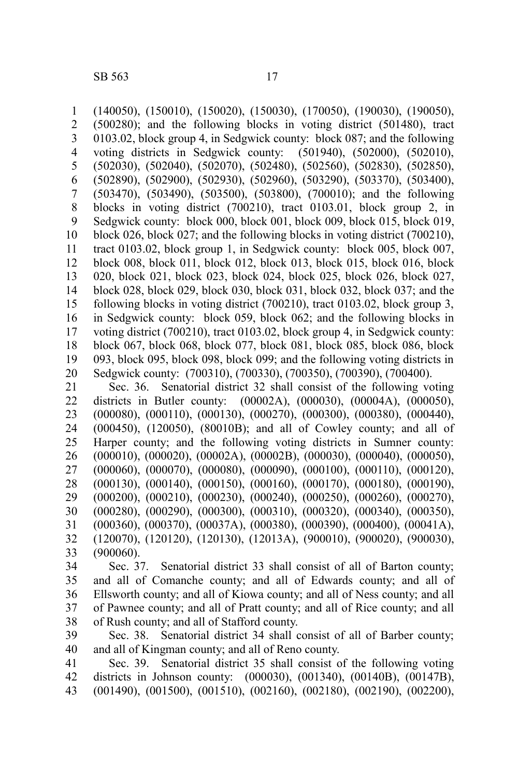(140050), (150010), (150020), (150030), (170050), (190030), (190050), (500280); and the following blocks in voting district (501480), tract 0103.02, block group 4, in Sedgwick county: block 087; and the following voting districts in Sedgwick county: (501940), (502000), (502010), voting districts in Sedgwick county: (502030), (502040), (502070), (502480), (502560), (502830), (502850), (502890), (502900), (502930), (502960), (503290), (503370), (503400), (503470), (503490), (503500), (503800), (700010); and the following blocks in voting district (700210), tract 0103.01, block group 2, in Sedgwick county: block 000, block 001, block 009, block 015, block 019, block 026, block 027; and the following blocks in voting district (700210), tract 0103.02, block group 1, in Sedgwick county: block 005, block 007, block 008, block 011, block 012, block 013, block 015, block 016, block 020, block 021, block 023, block 024, block 025, block 026, block 027, block 028, block 029, block 030, block 031, block 032, block 037; and the following blocks in voting district (700210), tract 0103.02, block group 3, in Sedgwick county: block 059, block 062; and the following blocks in voting district (700210), tract 0103.02, block group 4, in Sedgwick county: block 067, block 068, block 077, block 081, block 085, block 086, block 093, block 095, block 098, block 099; and the following voting districts in Sedgwick county: (700310), (700330), (700350), (700390), (700400). Sec. 36. Senatorial district 32 shall consist of the following voting districts in Butler county: (00002A), (000030), (00004A), (000050), (000080), (000110), (000130), (000270), (000300), (000380), (000440), (000450), (120050), (80010B); and all of Cowley county; and all of Harper county; and the following voting districts in Sumner county: (000010), (000020), (00002A), (00002B), (000030), (000040), (000050), 1 2 3 4 5 6 7 8 9 10 11 12 13 14 15 16 17 18 19 20 21 22 23 24 25 26

(000060), (000070), (000080), (000090), (000100), (000110), (000120), (000130), (000140), (000150), (000160), (000170), (000180), (000190), 27 28

(000200), (000210), (000230), (000240), (000250), (000260), (000270), (000280), (000290), (000300), (000310), (000320), (000340), (000350), 29 30

(000360), (000370), (00037A), (000380), (000390), (000400), (00041A), 31 32

(120070), (120120), (120130), (12013A), (900010), (900020), (900030), (900060). 33

Sec. 37. Senatorial district 33 shall consist of all of Barton county; and all of Comanche county; and all of Edwards county; and all of Ellsworth county; and all of Kiowa county; and all of Ness county; and all of Pawnee county; and all of Pratt county; and all of Rice county; and all of Rush county; and all of Stafford county. 34 35 36 37 38

Sec. 38. Senatorial district 34 shall consist of all of Barber county; and all of Kingman county; and all of Reno county. 39 40

Sec. 39. Senatorial district 35 shall consist of the following voting districts in Johnson county: (000030), (001340), (00140B), (00147B), (001490), (001500), (001510), (002160), (002180), (002190), (002200), 41 42 43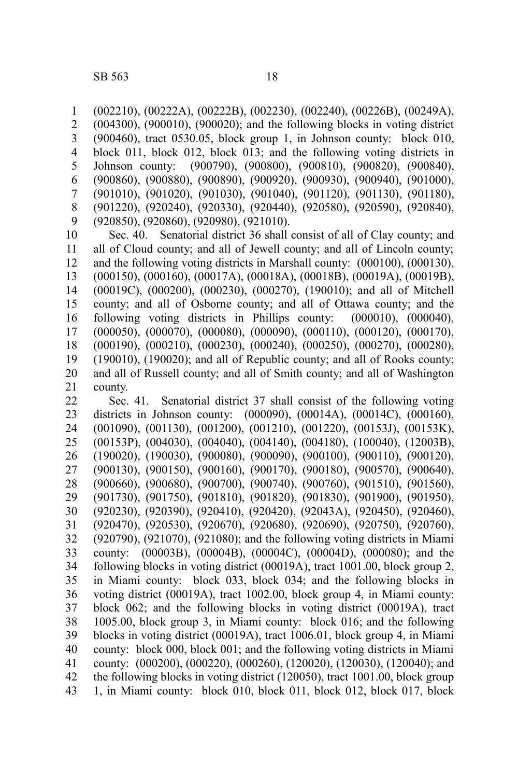(002210), (00222A), (00222B), (002230), (002240), (00226B), (00249A), (004300), (900010), (900020); and the following blocks in voting district (900460), tract 0530.05, block group 1, in Johnson county: block 010, block 011, block 012, block 013; and the following voting districts in Johnson county: (900790), (900800), (900810), (900820), (900840), (900860), (900880), (900890), (900920), (900930), (900940), (901000), (901010), (901020), (901030), (901040), (901120), (901130), (901180), (901220), (920240), (920330), (920440), (920580), (920590), (920840), (920850), (920860), (920980), (921010). Sec. 40. Senatorial district 36 shall consist of all of Clay county; and all of Cloud county; and all of Jewell county; and all of Lincoln county; and the following voting districts in Marshall county: (000100), (000130), (000150), (000160), (00017A), (00018A), (00018B), (00019A), (00019B), 1 2 3 4 5 6 7 8 9 10 11 12 13

(00019C), (000200), (000230), (000270), (190010); and all of Mitchell county; and all of Osborne county; and all of Ottawa county; and the following voting districts in Phillips county: (000010), (000040), (000050), (000070), (000080), (000090), (000110), (000120), (000170), (000190), (000210), (000230), (000240), (000250), (000270), (000280), (190010), (190020); and all of Republic county; and all of Rooks county; and all of Russell county; and all of Smith county; and all of Washington county. 14 15 16 17 18 19 20 21

Sec. 41. Senatorial district 37 shall consist of the following voting districts in Johnson county: (000090), (00014A), (00014C), (000160), (001090), (001130), (001200), (001210), (001220), (00153J), (00153K), (00153P), (004030), (004040), (004140), (004180), (100040), (12003B), (190020), (190030), (900080), (900090), (900100), (900110), (900120), (900130), (900150), (900160), (900170), (900180), (900570), (900640), (900660), (900680), (900700), (900740), (900760), (901510), (901560), (901730), (901750), (901810), (901820), (901830), (901900), (901950), (920230), (920390), (920410), (920420), (92043A), (920450), (920460), (920470), (920530), (920670), (920680), (920690), (920750), (920760), (920790), (921070), (921080); and the following voting districts in Miami county: (00003B), (00004B), (00004C), (00004D), (000080); and the following blocks in voting district (00019A), tract 1001.00, block group 2, in Miami county: block 033, block 034; and the following blocks in voting district (00019A), tract 1002.00, block group 4, in Miami county: block 062; and the following blocks in voting district (00019A), tract 1005.00, block group 3, in Miami county: block 016; and the following blocks in voting district (00019A), tract 1006.01, block group 4, in Miami county: block 000, block 001; and the following voting districts in Miami county: (000200), (000220), (000260), (120020), (120030), (120040); and the following blocks in voting district (120050), tract 1001.00, block group 1, in Miami county: block 010, block 011, block 012, block 017, block 22 23 24 25 26 27 28 29 30 31 32 33 34 35 36 37 38 39 40 41 42 43